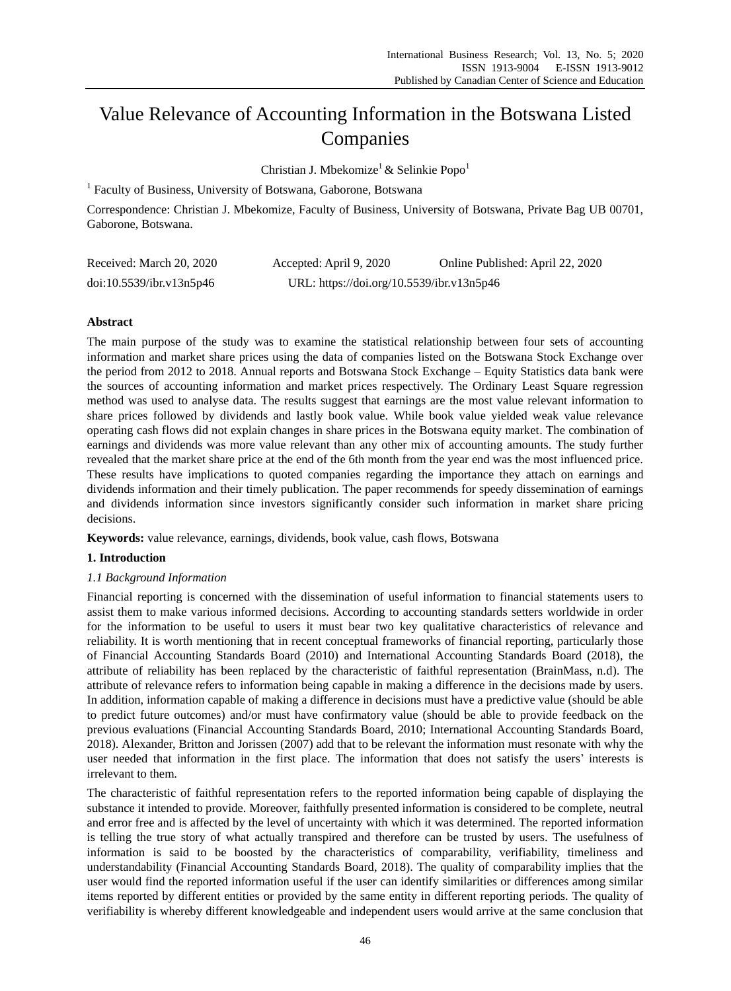# Value Relevance of Accounting Information in the Botswana Listed Companies

Christian J. Mbekomize<sup>1</sup> & Selinkie Popo<sup>1</sup>

<sup>1</sup> Faculty of Business, University of Botswana, Gaborone, Botswana

Correspondence: Christian J. Mbekomize, Faculty of Business, University of Botswana, Private Bag UB 00701, Gaborone, Botswana.

| Received: March 20, 2020 | Accepted: April 9, 2020                   | Online Published: April 22, 2020 |
|--------------------------|-------------------------------------------|----------------------------------|
| doi:10.5539/ibr.v13n5p46 | URL: https://doi.org/10.5539/ibr.v13n5p46 |                                  |

# **Abstract**

The main purpose of the study was to examine the statistical relationship between four sets of accounting information and market share prices using the data of companies listed on the Botswana Stock Exchange over the period from 2012 to 2018. Annual reports and Botswana Stock Exchange – Equity Statistics data bank were the sources of accounting information and market prices respectively. The Ordinary Least Square regression method was used to analyse data. The results suggest that earnings are the most value relevant information to share prices followed by dividends and lastly book value. While book value yielded weak value relevance operating cash flows did not explain changes in share prices in the Botswana equity market. The combination of earnings and dividends was more value relevant than any other mix of accounting amounts. The study further revealed that the market share price at the end of the 6th month from the year end was the most influenced price. These results have implications to quoted companies regarding the importance they attach on earnings and dividends information and their timely publication. The paper recommends for speedy dissemination of earnings and dividends information since investors significantly consider such information in market share pricing decisions.

**Keywords:** value relevance, earnings, dividends, book value, cash flows, Botswana

# **1. Introduction**

# *1.1 Background Information*

Financial reporting is concerned with the dissemination of useful information to financial statements users to assist them to make various informed decisions. According to accounting standards setters worldwide in order for the information to be useful to users it must bear two key qualitative characteristics of relevance and reliability. It is worth mentioning that in recent conceptual frameworks of financial reporting, particularly those of Financial Accounting Standards Board (2010) and International Accounting Standards Board (2018), the attribute of reliability has been replaced by the characteristic of faithful representation (BrainMass, n.d). The attribute of relevance refers to information being capable in making a difference in the decisions made by users. In addition, information capable of making a difference in decisions must have a predictive value (should be able to predict future outcomes) and/or must have confirmatory value (should be able to provide feedback on the previous evaluations (Financial Accounting Standards Board, 2010; International Accounting Standards Board, 2018). Alexander, Britton and Jorissen (2007) add that to be relevant the information must resonate with why the user needed that information in the first place. The information that does not satisfy the users' interests is irrelevant to them.

The characteristic of faithful representation refers to the reported information being capable of displaying the substance it intended to provide. Moreover, faithfully presented information is considered to be complete, neutral and error free and is affected by the level of uncertainty with which it was determined. The reported information is telling the true story of what actually transpired and therefore can be trusted by users. The usefulness of information is said to be boosted by the characteristics of comparability, verifiability, timeliness and understandability (Financial Accounting Standards Board, 2018). The quality of comparability implies that the user would find the reported information useful if the user can identify similarities or differences among similar items reported by different entities or provided by the same entity in different reporting periods. The quality of verifiability is whereby different knowledgeable and independent users would arrive at the same conclusion that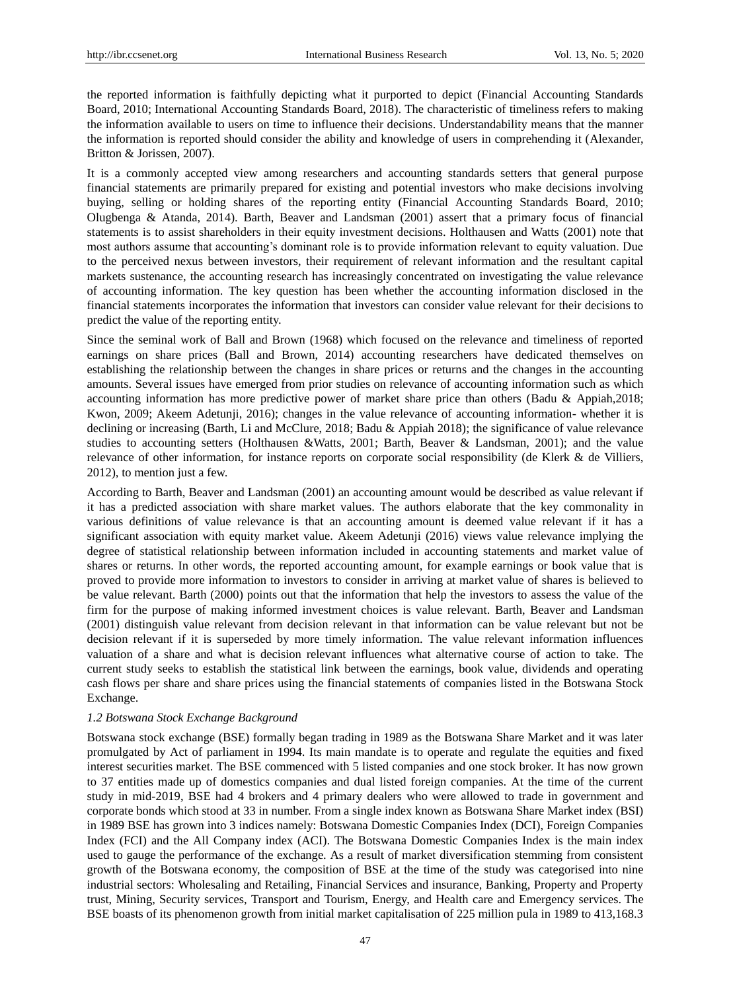the reported information is faithfully depicting what it purported to depict (Financial Accounting Standards Board, 2010; International Accounting Standards Board, 2018). The characteristic of timeliness refers to making the information available to users on time to influence their decisions. Understandability means that the manner the information is reported should consider the ability and knowledge of users in comprehending it (Alexander, Britton & Jorissen, 2007).

It is a commonly accepted view among researchers and accounting standards setters that general purpose financial statements are primarily prepared for existing and potential investors who make decisions involving buying, selling or holding shares of the reporting entity (Financial Accounting Standards Board, 2010; Olugbenga & Atanda, 2014). Barth, Beaver and Landsman (2001) assert that a primary focus of financial statements is to assist shareholders in their equity investment decisions. Holthausen and Watts (2001) note that most authors assume that accounting's dominant role is to provide information relevant to equity valuation. Due to the perceived nexus between investors, their requirement of relevant information and the resultant capital markets sustenance, the accounting research has increasingly concentrated on investigating the value relevance of accounting information. The key question has been whether the accounting information disclosed in the financial statements incorporates the information that investors can consider value relevant for their decisions to predict the value of the reporting entity.

Since the seminal work of Ball and Brown (1968) which focused on the relevance and timeliness of reported earnings on share prices (Ball and Brown, 2014) accounting researchers have dedicated themselves on establishing the relationship between the changes in share prices or returns and the changes in the accounting amounts. Several issues have emerged from prior studies on relevance of accounting information such as which accounting information has more predictive power of market share price than others (Badu & Appiah,2018; Kwon, 2009; Akeem Adetunji, 2016); changes in the value relevance of accounting information- whether it is declining or increasing (Barth, Li and McClure, 2018; Badu & Appiah 2018); the significance of value relevance studies to accounting setters (Holthausen &Watts, 2001; Barth, Beaver & Landsman, 2001); and the value relevance of other information, for instance reports on corporate social responsibility (de Klerk & de Villiers, 2012), to mention just a few.

According to Barth, Beaver and Landsman (2001) an accounting amount would be described as value relevant if it has a predicted association with share market values. The authors elaborate that the key commonality in various definitions of value relevance is that an accounting amount is deemed value relevant if it has a significant association with equity market value. Akeem Adetunji (2016) views value relevance implying the degree of statistical relationship between information included in accounting statements and market value of shares or returns. In other words, the reported accounting amount, for example earnings or book value that is proved to provide more information to investors to consider in arriving at market value of shares is believed to be value relevant. Barth (2000) points out that the information that help the investors to assess the value of the firm for the purpose of making informed investment choices is value relevant. Barth, Beaver and Landsman (2001) distinguish value relevant from decision relevant in that information can be value relevant but not be decision relevant if it is superseded by more timely information. The value relevant information influences valuation of a share and what is decision relevant influences what alternative course of action to take. The current study seeks to establish the statistical link between the earnings, book value, dividends and operating cash flows per share and share prices using the financial statements of companies listed in the Botswana Stock Exchange.

#### *1.2 Botswana Stock Exchange Background*

Botswana stock exchange (BSE) formally began trading in 1989 as the Botswana Share Market and it was later promulgated by Act of parliament in 1994. Its main mandate is to operate and regulate the equities and fixed interest securities market. The BSE commenced with 5 listed companies and one stock broker. It has now grown to 37 entities made up of domestics companies and dual listed foreign companies. At the time of the current study in mid-2019, BSE had 4 brokers and 4 primary dealers who were allowed to trade in government and corporate bonds which stood at 33 in number. From a single index known as Botswana Share Market index (BSI) in 1989 BSE has grown into 3 indices namely: Botswana Domestic Companies Index (DCI), Foreign Companies Index (FCI) and the All Company index (ACI). The Botswana Domestic Companies Index is the main index used to gauge the performance of the exchange. As a result of market diversification stemming from consistent growth of the Botswana economy, the composition of BSE at the time of the study was categorised into nine industrial sectors: Wholesaling and Retailing, Financial Services and insurance, Banking, Property and Property trust, Mining, Security services, Transport and Tourism, Energy, and Health care and Emergency services. The BSE boasts of its phenomenon growth from initial market capitalisation of 225 million pula in 1989 to 413,168.3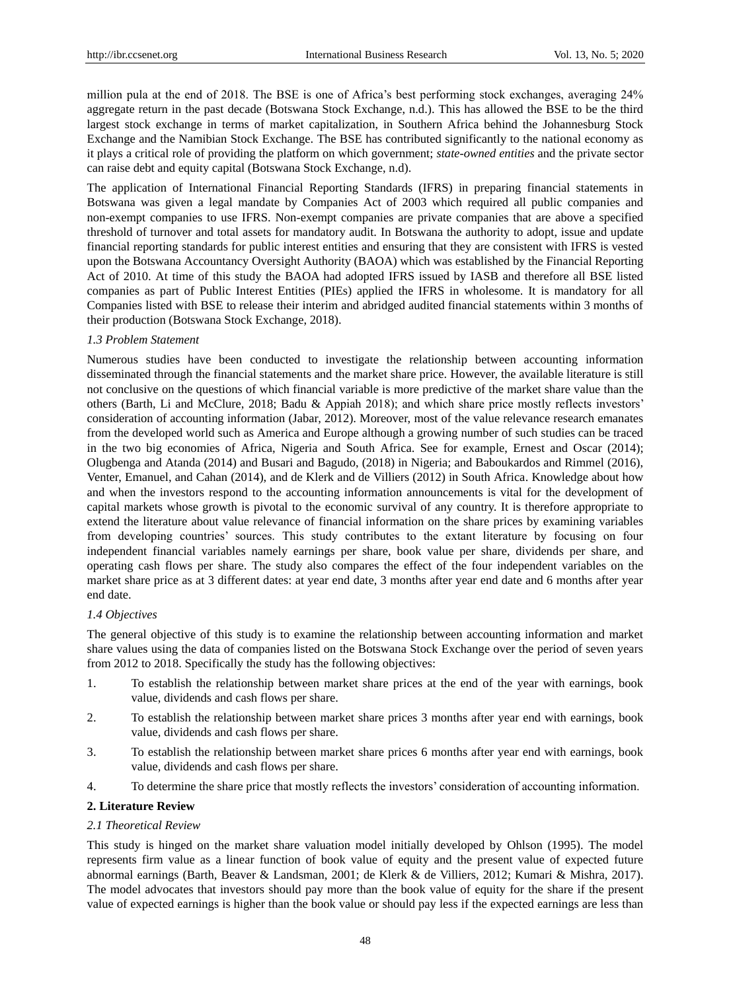million pula at the end of 2018. The BSE is one of Africa's best performing stock exchanges, averaging 24% aggregate return in the past decade (Botswana Stock Exchange, n.d.). This has allowed the BSE to be the third largest stock exchange in terms of market capitalization, in Southern Africa behind the Johannesburg Stock Exchange and the Namibian Stock Exchange. The BSE has contributed significantly to the national economy as it plays a critical role of providing the platform on which government; *state-owned entities* and the private sector can raise debt and equity capital (Botswana Stock Exchange, n.d).

The application of International Financial Reporting Standards (IFRS) in preparing financial statements in Botswana was given a legal mandate by Companies Act of 2003 which required all public companies and non-exempt companies to use IFRS. Non-exempt companies are private companies that are above a specified threshold of turnover and total assets for mandatory audit. In Botswana the authority to adopt, issue and update financial reporting standards for public interest entities and ensuring that they are consistent with IFRS is vested upon the Botswana Accountancy Oversight Authority (BAOA) which was established by the Financial Reporting Act of 2010. At time of this study the BAOA had adopted IFRS issued by IASB and therefore all BSE listed companies as part of Public Interest Entities (PIEs) applied the IFRS in wholesome. It is mandatory for all Companies listed with BSE to release their interim and abridged audited financial statements within 3 months of their production (Botswana Stock Exchange, 2018).

#### *1.3 Problem Statement*

Numerous studies have been conducted to investigate the relationship between accounting information disseminated through the financial statements and the market share price. However, the available literature is still not conclusive on the questions of which financial variable is more predictive of the market share value than the others (Barth, Li and McClure, 2018; Badu & Appiah 2018); and which share price mostly reflects investors' consideration of accounting information (Jabar, 2012). Moreover, most of the value relevance research emanates from the developed world such as America and Europe although a growing number of such studies can be traced in the two big economies of Africa, Nigeria and South Africa. See for example, Ernest and Oscar (2014); Olugbenga and Atanda (2014) and Busari and Bagudo, (2018) in Nigeria; and Baboukardos and Rimmel (2016), Venter, Emanuel, and Cahan (2014), and de Klerk and de Villiers (2012) in South Africa. Knowledge about how and when the investors respond to the accounting information announcements is vital for the development of capital markets whose growth is pivotal to the economic survival of any country. It is therefore appropriate to extend the literature about value relevance of financial information on the share prices by examining variables from developing countries' sources. This study contributes to the extant literature by focusing on four independent financial variables namely earnings per share, book value per share, dividends per share, and operating cash flows per share. The study also compares the effect of the four independent variables on the market share price as at 3 different dates: at year end date, 3 months after year end date and 6 months after year end date.

# *1.4 Objectives*

The general objective of this study is to examine the relationship between accounting information and market share values using the data of companies listed on the Botswana Stock Exchange over the period of seven years from 2012 to 2018. Specifically the study has the following objectives:

- 1. To establish the relationship between market share prices at the end of the year with earnings, book value, dividends and cash flows per share.
- 2. To establish the relationship between market share prices 3 months after year end with earnings, book value, dividends and cash flows per share.
- 3. To establish the relationship between market share prices 6 months after year end with earnings, book value, dividends and cash flows per share.
- 4. To determine the share price that mostly reflects the investors' consideration of accounting information.

# **2. Literature Review**

#### *2.1 Theoretical Review*

This study is hinged on the market share valuation model initially developed by Ohlson (1995). The model represents firm value as a linear function of book value of equity and the present value of expected future abnormal earnings (Barth, Beaver & Landsman, 2001; de Klerk & de Villiers, 2012; Kumari & Mishra, 2017). The model advocates that investors should pay more than the book value of equity for the share if the present value of expected earnings is higher than the book value or should pay less if the expected earnings are less than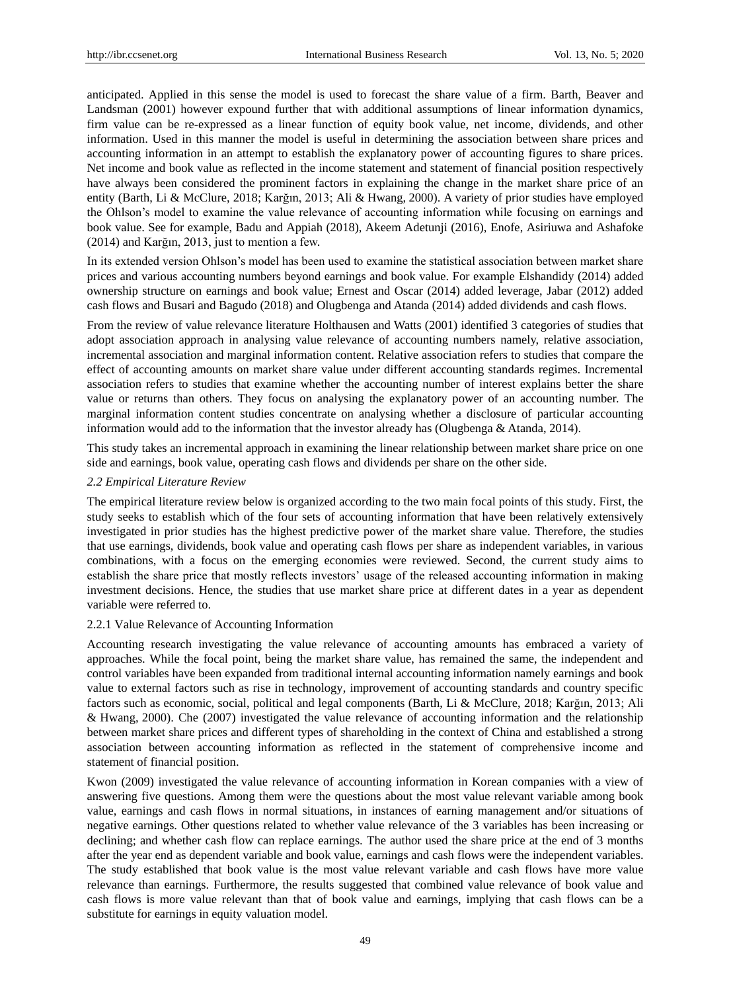anticipated. Applied in this sense the model is used to forecast the share value of a firm. Barth, Beaver and Landsman (2001) however expound further that with additional assumptions of linear information dynamics, firm value can be re-expressed as a linear function of equity book value, net income, dividends, and other information. Used in this manner the model is useful in determining the association between share prices and accounting information in an attempt to establish the explanatory power of accounting figures to share prices. Net income and book value as reflected in the income statement and statement of financial position respectively have always been considered the prominent factors in explaining the change in the market share price of an entity (Barth, Li & McClure, 2018; Karğın, 2013; Ali & Hwang, 2000). A variety of prior studies have employed the Ohlson's model to examine the value relevance of accounting information while focusing on earnings and book value. See for example, Badu and Appiah (2018), Akeem Adetunji (2016), Enofe, Asiriuwa and Ashafoke (2014) and Karğın, 2013, just to mention a few.

In its extended version Ohlson's model has been used to examine the statistical association between market share prices and various accounting numbers beyond earnings and book value. For example Elshandidy (2014) added ownership structure on earnings and book value; Ernest and Oscar (2014) added leverage, Jabar (2012) added cash flows and Busari and Bagudo (2018) and Olugbenga and Atanda (2014) added dividends and cash flows.

From the review of value relevance literature Holthausen and Watts (2001) identified 3 categories of studies that adopt association approach in analysing value relevance of accounting numbers namely, relative association, incremental association and marginal information content. Relative association refers to studies that compare the effect of accounting amounts on market share value under different accounting standards regimes. Incremental association refers to studies that examine whether the accounting number of interest explains better the share value or returns than others. They focus on analysing the explanatory power of an accounting number. The marginal information content studies concentrate on analysing whether a disclosure of particular accounting information would add to the information that the investor already has (Olugbenga & Atanda, 2014).

This study takes an incremental approach in examining the linear relationship between market share price on one side and earnings, book value, operating cash flows and dividends per share on the other side.

#### *2.2 Empirical Literature Review*

The empirical literature review below is organized according to the two main focal points of this study. First, the study seeks to establish which of the four sets of accounting information that have been relatively extensively investigated in prior studies has the highest predictive power of the market share value. Therefore, the studies that use earnings, dividends, book value and operating cash flows per share as independent variables, in various combinations, with a focus on the emerging economies were reviewed. Second, the current study aims to establish the share price that mostly reflects investors' usage of the released accounting information in making investment decisions. Hence, the studies that use market share price at different dates in a year as dependent variable were referred to.

#### 2.2.1 Value Relevance of Accounting Information

Accounting research investigating the value relevance of accounting amounts has embraced a variety of approaches. While the focal point, being the market share value, has remained the same, the independent and control variables have been expanded from traditional internal accounting information namely earnings and book value to external factors such as rise in technology, improvement of accounting standards and country specific factors such as economic, social, political and legal components (Barth, Li & McClure, 2018; Karğın, 2013; Ali & Hwang, 2000). Che (2007) investigated the value relevance of accounting information and the relationship between market share prices and different types of shareholding in the context of China and established a strong association between accounting information as reflected in the statement of comprehensive income and statement of financial position.

Kwon (2009) investigated the value relevance of accounting information in Korean companies with a view of answering five questions. Among them were the questions about the most value relevant variable among book value, earnings and cash flows in normal situations, in instances of earning management and/or situations of negative earnings. Other questions related to whether value relevance of the 3 variables has been increasing or declining; and whether cash flow can replace earnings. The author used the share price at the end of 3 months after the year end as dependent variable and book value, earnings and cash flows were the independent variables. The study established that book value is the most value relevant variable and cash flows have more value relevance than earnings. Furthermore, the results suggested that combined value relevance of book value and cash flows is more value relevant than that of book value and earnings, implying that cash flows can be a substitute for earnings in equity valuation model.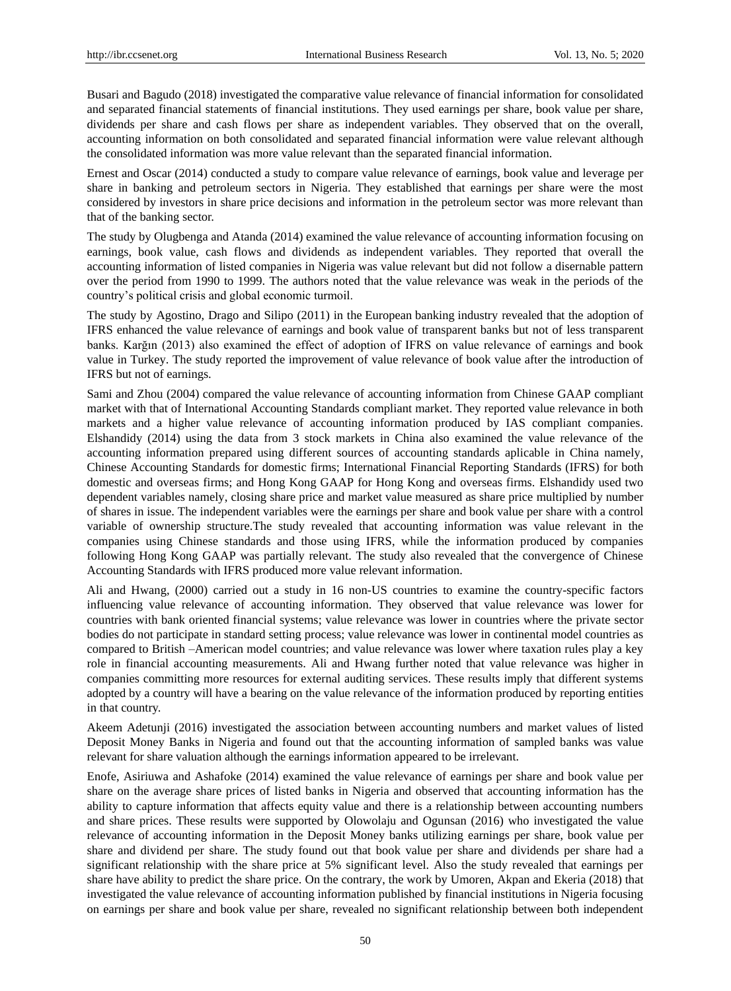Busari and Bagudo (2018) investigated the comparative value relevance of financial information for consolidated and separated financial statements of financial institutions. They used earnings per share, book value per share, dividends per share and cash flows per share as independent variables. They observed that on the overall, accounting information on both consolidated and separated financial information were value relevant although the consolidated information was more value relevant than the separated financial information.

Ernest and Oscar (2014) conducted a study to compare value relevance of earnings, book value and leverage per share in banking and petroleum sectors in Nigeria. They established that earnings per share were the most considered by investors in share price decisions and information in the petroleum sector was more relevant than that of the banking sector.

The study by Olugbenga and Atanda (2014) examined the value relevance of accounting information focusing on earnings, book value, cash flows and dividends as independent variables. They reported that overall the accounting information of listed companies in Nigeria was value relevant but did not follow a disernable pattern over the period from 1990 to 1999. The authors noted that the value relevance was weak in the periods of the country's political crisis and global economic turmoil.

The study by Agostino, Drago and Silipo (2011) in the European banking industry revealed that the adoption of IFRS enhanced the value relevance of earnings and book value of transparent banks but not of less transparent banks. Karğın (2013) also examined the effect of adoption of IFRS on value relevance of earnings and book value in Turkey. The study reported the improvement of value relevance of book value after the introduction of IFRS but not of earnings.

Sami and Zhou (2004) compared the value relevance of accounting information from Chinese GAAP compliant market with that of International Accounting Standards compliant market. They reported value relevance in both markets and a higher value relevance of accounting information produced by IAS compliant companies. Elshandidy (2014) using the data from 3 stock markets in China also examined the value relevance of the accounting information prepared using different sources of accounting standards aplicable in China namely, Chinese Accounting Standards for domestic firms; International Financial Reporting Standards (IFRS) for both domestic and overseas firms; and Hong Kong GAAP for Hong Kong and overseas firms. Elshandidy used two dependent variables namely, closing share price and market value measured as share price multiplied by number of shares in issue. The independent variables were the earnings per share and book value per share with a control variable of ownership structure.The study revealed that accounting information was value relevant in the companies using Chinese standards and those using IFRS, while the information produced by companies following Hong Kong GAAP was partially relevant. The study also revealed that the convergence of Chinese Accounting Standards with IFRS produced more value relevant information.

Ali and Hwang, (2000) carried out a study in 16 non-US countries to examine the country-specific factors influencing value relevance of accounting information. They observed that value relevance was lower for countries with bank oriented financial systems; value relevance was lower in countries where the private sector bodies do not participate in standard setting process; value relevance was lower in continental model countries as compared to British –American model countries; and value relevance was lower where taxation rules play a key role in financial accounting measurements. Ali and Hwang further noted that value relevance was higher in companies committing more resources for external auditing services. These results imply that different systems adopted by a country will have a bearing on the value relevance of the information produced by reporting entities in that country.

Akeem Adetunji (2016) investigated the association between accounting numbers and market values of listed Deposit Money Banks in Nigeria and found out that the accounting information of sampled banks was value relevant for share valuation although the earnings information appeared to be irrelevant.

Enofe, Asiriuwa and Ashafoke (2014) examined the value relevance of earnings per share and book value per share on the average share prices of listed banks in Nigeria and observed that accounting information has the ability to capture information that affects equity value and there is a relationship between accounting numbers and share prices. These results were supported by Olowolaju and Ogunsan (2016) who investigated the value relevance of accounting information in the Deposit Money banks utilizing earnings per share, book value per share and dividend per share. The study found out that book value per share and dividends per share had a significant relationship with the share price at 5% significant level. Also the study revealed that earnings per share have ability to predict the share price. On the contrary, the work by Umoren, Akpan and Ekeria (2018) that investigated the value relevance of accounting information published by financial institutions in Nigeria focusing on earnings per share and book value per share, revealed no significant relationship between both independent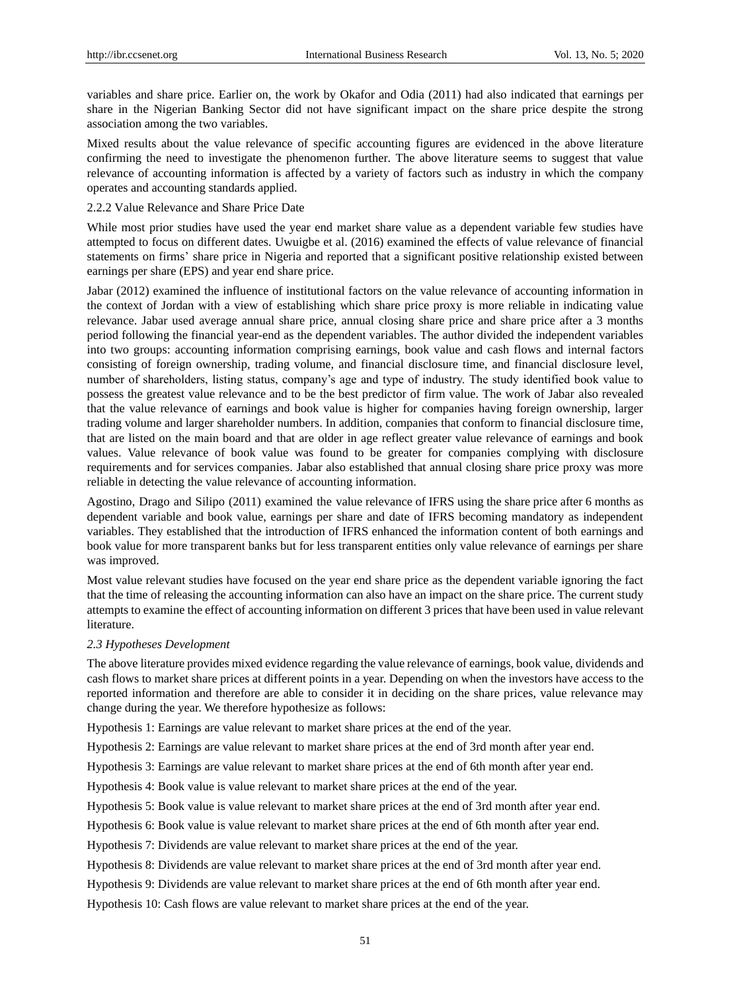variables and share price. Earlier on, the work by Okafor and Odia (2011) had also indicated that earnings per share in the Nigerian Banking Sector did not have significant impact on the share price despite the strong association among the two variables.

Mixed results about the value relevance of specific accounting figures are evidenced in the above literature confirming the need to investigate the phenomenon further. The above literature seems to suggest that value relevance of accounting information is affected by a variety of factors such as industry in which the company operates and accounting standards applied.

#### 2.2.2 Value Relevance and Share Price Date

While most prior studies have used the year end market share value as a dependent variable few studies have attempted to focus on different dates. Uwuigbe et al. (2016) examined the effects of value relevance of financial statements on firms' share price in Nigeria and reported that a significant positive relationship existed between earnings per share (EPS) and year end share price.

Jabar (2012) examined the influence of institutional factors on the value relevance of accounting information in the context of Jordan with a view of establishing which share price proxy is more reliable in indicating value relevance. Jabar used average annual share price, annual closing share price and share price after a 3 months period following the financial year-end as the dependent variables. The author divided the independent variables into two groups: accounting information comprising earnings, book value and cash flows and internal factors consisting of foreign ownership, trading volume, and financial disclosure time, and financial disclosure level, number of shareholders, listing status, company's age and type of industry. The study identified book value to possess the greatest value relevance and to be the best predictor of firm value. The work of Jabar also revealed that the value relevance of earnings and book value is higher for companies having foreign ownership, larger trading volume and larger shareholder numbers. In addition, companies that conform to financial disclosure time, that are listed on the main board and that are older in age reflect greater value relevance of earnings and book values. Value relevance of book value was found to be greater for companies complying with disclosure requirements and for services companies. Jabar also established that annual closing share price proxy was more reliable in detecting the value relevance of accounting information.

Agostino, Drago and Silipo (2011) examined the value relevance of IFRS using the share price after 6 months as dependent variable and book value, earnings per share and date of IFRS becoming mandatory as independent variables. They established that the introduction of IFRS enhanced the information content of both earnings and book value for more transparent banks but for less transparent entities only value relevance of earnings per share was improved.

Most value relevant studies have focused on the year end share price as the dependent variable ignoring the fact that the time of releasing the accounting information can also have an impact on the share price. The current study attempts to examine the effect of accounting information on different 3 prices that have been used in value relevant literature.

#### *2.3 Hypotheses Development*

The above literature provides mixed evidence regarding the value relevance of earnings, book value, dividends and cash flows to market share prices at different points in a year. Depending on when the investors have access to the reported information and therefore are able to consider it in deciding on the share prices, value relevance may change during the year. We therefore hypothesize as follows:

Hypothesis 1: Earnings are value relevant to market share prices at the end of the year.

Hypothesis 2: Earnings are value relevant to market share prices at the end of 3rd month after year end.

Hypothesis 3: Earnings are value relevant to market share prices at the end of 6th month after year end.

Hypothesis 4: Book value is value relevant to market share prices at the end of the year.

Hypothesis 5: Book value is value relevant to market share prices at the end of 3rd month after year end.

Hypothesis 6: Book value is value relevant to market share prices at the end of 6th month after year end.

Hypothesis 7: Dividends are value relevant to market share prices at the end of the year.

Hypothesis 8: Dividends are value relevant to market share prices at the end of 3rd month after year end.

Hypothesis 9: Dividends are value relevant to market share prices at the end of 6th month after year end.

Hypothesis 10: Cash flows are value relevant to market share prices at the end of the year.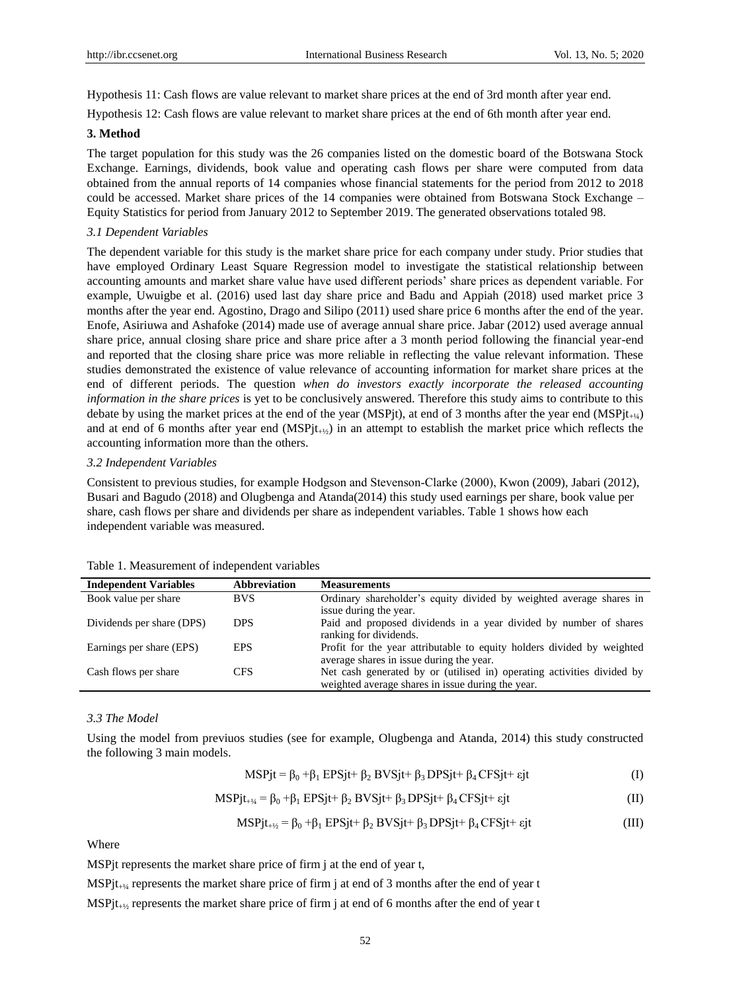Hypothesis 11: Cash flows are value relevant to market share prices at the end of 3rd month after year end.

Hypothesis 12: Cash flows are value relevant to market share prices at the end of 6th month after year end.

#### **3. Method**

The target population for this study was the 26 companies listed on the domestic board of the Botswana Stock Exchange. Earnings, dividends, book value and operating cash flows per share were computed from data obtained from the annual reports of 14 companies whose financial statements for the period from 2012 to 2018 could be accessed. Market share prices of the 14 companies were obtained from Botswana Stock Exchange – Equity Statistics for period from January 2012 to September 2019. The generated observations totaled 98.

#### *3.1 Dependent Variables*

The dependent variable for this study is the market share price for each company under study. Prior studies that have employed Ordinary Least Square Regression model to investigate the statistical relationship between accounting amounts and market share value have used different periods' share prices as dependent variable. For example, Uwuigbe et al. (2016) used last day share price and Badu and Appiah (2018) used market price 3 months after the year end. Agostino, Drago and Silipo (2011) used share price 6 months after the end of the year. Enofe, Asiriuwa and Ashafoke (2014) made use of average annual share price. Jabar (2012) used average annual share price, annual closing share price and share price after a 3 month period following the financial year-end and reported that the closing share price was more reliable in reflecting the value relevant information. These studies demonstrated the existence of value relevance of accounting information for market share prices at the end of different periods. The question *when do investors exactly incorporate the released accounting information in the share prices* is yet to be conclusively answered. Therefore this study aims to contribute to this debate by using the market prices at the end of the year (MSPjt), at end of 3 months after the year end (MSPjt+ $\iota_{\iota}$ ) and at end of 6 months after year end  $(MSP)t_{+(k)}$  in an attempt to establish the market price which reflects the accounting information more than the others.

#### *3.2 Independent Variables*

Consistent to previous studies, for example Hodgson and Stevenson‐Clarke (2000), Kwon (2009), Jabari (2012), Busari and Bagudo (2018) and Olugbenga and Atanda(2014) this study used earnings per share, book value per share, cash flows per share and dividends per share as independent variables. Table 1 shows how each independent variable was measured.

| <b>Independent Variables</b> | Abbreviation | <b>Measurements</b>                                                                                                         |
|------------------------------|--------------|-----------------------------------------------------------------------------------------------------------------------------|
| Book value per share         | <b>BVS</b>   | Ordinary shareholder's equity divided by weighted average shares in<br>issue during the year.                               |
| Dividends per share (DPS)    | <b>DPS</b>   | Paid and proposed dividends in a year divided by number of shares<br>ranking for dividends.                                 |
| Earnings per share (EPS)     | <b>EPS</b>   | Profit for the year attributable to equity holders divided by weighted<br>average shares in issue during the year.          |
| Cash flows per share         | <b>CFS</b>   | Net cash generated by or (utilised in) operating activities divided by<br>weighted average shares in issue during the year. |

#### Table 1. Measurement of independent variables

#### *3.3 The Model*

Using the model from previuos studies (see for example, Olugbenga and Atanda, 2014) this study constructed the following 3 main models.

 $MSPjt = \beta_0 + \beta_1 EPSjt + \beta_2 BVSjt + \beta_3 DPSjt + \beta_4 CFSjt + \epsilon_j t$  (I)

$$
MSPjt_{+1/4} = \beta_0 + \beta_1 EPSjt + \beta_2 BVSjt + \beta_3 DPSjt + \beta_4 CFSjt + \epsilon jt
$$
 (II)

$$
MSPjt_{+\frac{1}{2}} = \beta_0 + \beta_1 EPSjt + \beta_2 BVSjt + \beta_3 DPSjt + \beta_4 CFSjt + \epsilon jt
$$
 (III)

Where

MSPjt represents the market share price of firm j at the end of year t,

MSP jt<sub>+ $\frac{1}{4}$ </sub> represents the market share price of firm j at end of 3 months after the end of year t

MSPjt<sub>+½</sub> represents the market share price of firm j at end of 6 months after the end of year t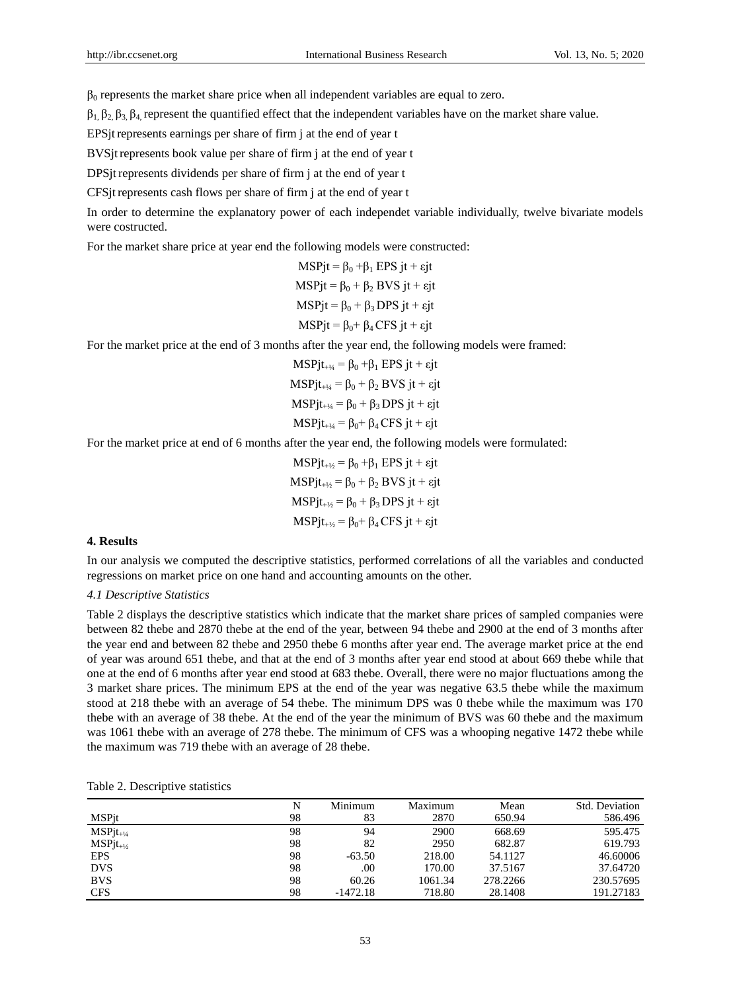$\beta_0$  represents the market share price when all independent variables are equal to zero.

 $β_1, β_2, β_3, β_4$ , represent the quantified effect that the independent variables have on the market share value.

EPSjtrepresents earnings per share of firm j at the end of year t

BVSjtrepresents book value per share of firm j at the end of year t

DPSjtrepresents dividends per share of firm j at the end of year t

CFSjtrepresents cash flows per share of firm j at the end of year t

In order to determine the explanatory power of each independet variable individually, twelve bivariate models were costructed.

For the market share price at year end the following models were constructed:

$$
MSPjt = \beta_0 + \beta_1 EPS \, jt + \varepsilon jt
$$
  
\n
$$
MSPjt = \beta_0 + \beta_2 BVS \, jt + \varepsilon jt
$$
  
\n
$$
MSPjt = \beta_0 + \beta_3 DPS \, jt + \varepsilon jt
$$
  
\n
$$
MSPjt = \beta_0 + \beta_4 CFS \, jt + \varepsilon jt
$$

For the market price at the end of 3 months after the year end, the following models were framed:

 $MSPjt_{+1/4} = \beta_0 + \beta_1 EPSjt + \epsilon jt$  $MSPit_{+1/4} = \beta_0 + \beta_2 BVS$  jt + εjt  $MSPjt_{+1/4} = \beta_0 + \beta_3 DPS jt + \epsilon jt$  $MSPjt_{+1/4} = \beta_0 + \beta_4 CFS$  jt + εjt

For the market price at end of 6 months after the year end, the following models were formulated:

 $MSPjt_{+1/2} = \beta_0 + \beta_1 EPSjt + \epsilon jt$  $MSPit_{+1/2} = \beta_0 + \beta_2 BVS$  jt + εjt  $MSPit_{+1/2} = \beta_0 + \beta_3 DPS it + \varepsilon it$  $MSPjt_{+1/2} = \beta_0 + \beta_4 CFSjt + \epsilon jt$ 

#### **4. Results**

In our analysis we computed the descriptive statistics, performed correlations of all the variables and conducted regressions on market price on one hand and accounting amounts on the other.

# *4.1 Descriptive Statistics*

Table 2 displays the descriptive statistics which indicate that the market share prices of sampled companies were between 82 thebe and 2870 thebe at the end of the year, between 94 thebe and 2900 at the end of 3 months after the year end and between 82 thebe and 2950 thebe 6 months after year end. The average market price at the end of year was around 651 thebe, and that at the end of 3 months after year end stood at about 669 thebe while that one at the end of 6 months after year end stood at 683 thebe. Overall, there were no major fluctuations among the 3 market share prices. The minimum EPS at the end of the year was negative 63.5 thebe while the maximum stood at 218 thebe with an average of 54 thebe. The minimum DPS was 0 thebe while the maximum was 170 thebe with an average of 38 thebe. At the end of the year the minimum of BVS was 60 thebe and the maximum was 1061 thebe with an average of 278 thebe. The minimum of CFS was a whooping negative 1472 thebe while the maximum was 719 thebe with an average of 28 thebe.

|                | N  | Minimum    | Maximum | Mean     | Std. Deviation |
|----------------|----|------------|---------|----------|----------------|
| MSPjt          | 98 | 83         | 2870    | 650.94   | 586.496        |
| $MSPit_{+1/4}$ | 98 | 94         | 2900    | 668.69   | 595.475        |
| $MSPjt_{+1/2}$ | 98 | 82         | 2950    | 682.87   | 619.793        |
| <b>EPS</b>     | 98 | $-63.50$   | 218.00  | 54.1127  | 46.60006       |
| <b>DVS</b>     | 98 | .00        | 170.00  | 37.5167  | 37.64720       |
| <b>BVS</b>     | 98 | 60.26      | 1061.34 | 278.2266 | 230.57695      |
| <b>CFS</b>     | 98 | $-1472.18$ | 718.80  | 28.1408  | 191.27183      |

| Table 2. Descriptive statistics |
|---------------------------------|
|---------------------------------|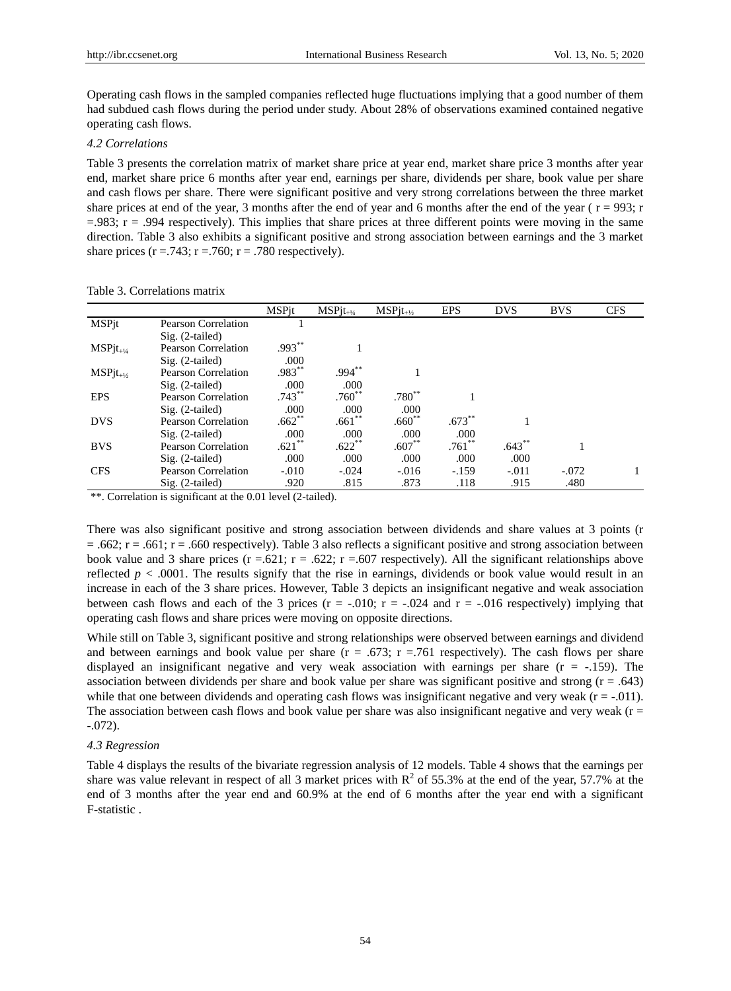Operating cash flows in the sampled companies reflected huge fluctuations implying that a good number of them had subdued cash flows during the period under study. About 28% of observations examined contained negative operating cash flows.

# *4.2 Correlations*

Table 3 presents the correlation matrix of market share price at year end, market share price 3 months after year end, market share price 6 months after year end, earnings per share, dividends per share, book value per share and cash flows per share. There were significant positive and very strong correlations between the three market share prices at end of the year, 3 months after the end of year and 6 months after the end of the year ( $r = 993$ ; r  $=$ .983;  $r = .994$  respectively). This implies that share prices at three different points were moving in the same direction. Table 3 also exhibits a significant positive and strong association between earnings and the 3 market share prices  $(r = .743; r = .760; r = .780$  respectively).

|                |                            | <b>MSPit</b> | $MSPjt_{+!4}$ | $MSPjt_{+1/2}$    | <b>EPS</b> | <b>DVS</b> | <b>BVS</b> | <b>CFS</b> |
|----------------|----------------------------|--------------|---------------|-------------------|------------|------------|------------|------------|
| <b>MSPjt</b>   | <b>Pearson Correlation</b> |              |               |                   |            |            |            |            |
|                | $Sig. (2-tailed)$          |              |               |                   |            |            |            |            |
| $MSPjt_{+1/4}$ | Pearson Correlation        | $.993***$    |               |                   |            |            |            |            |
|                | $Sig. (2-tailed)$          | .000         |               |                   |            |            |            |            |
| $MSPjt_{+1/2}$ | Pearson Correlation        | $.983***$    | $.994***$     |                   |            |            |            |            |
|                | $Sig. (2-tailed)$          | .000         | .000          |                   |            |            |            |            |
| <b>EPS</b>     | Pearson Correlation        | $.743***$    | $.760^{**}$   | .780 <sup>°</sup> |            |            |            |            |
|                | $Sig. (2-tailed)$          | .000         | .000.         | .000              |            |            |            |            |
| <b>DVS</b>     | Pearson Correlation        | $.662**$     | $.661**$      | $.660**$          | .673       |            |            |            |
|                | $Sig. (2-tailed)$          | .000         | .000          | .000.             | .000       |            |            |            |
| <b>BVS</b>     | Pearson Correlation        | $.621$ **    | $.622***$     | $.607**$          | $.761$ **  | $.643***$  |            |            |
|                | $Sig. (2-tailed)$          | .000         | .000          | .000              | .000       | .000       |            |            |
| <b>CFS</b>     | <b>Pearson Correlation</b> | $-.010$      | $-.024$       | $-.016$           | $-.159$    | $-.011$    | $-.072$    |            |
|                | $Sig. (2-tailed)$          | .920         | .815          | .873              | .118       | .915       | .480       |            |

\*\*. Correlation is significant at the 0.01 level (2-tailed).

There was also significant positive and strong association between dividends and share values at 3 points (r  $= .662$ ; r = .661; r = .660 respectively). Table 3 also reflects a significant positive and strong association between book value and 3 share prices  $(r = .621; r = .622; r = .607$  respectively). All the significant relationships above reflected  $p < .0001$ . The results signify that the rise in earnings, dividends or book value would result in an increase in each of the 3 share prices. However, Table 3 depicts an insignificant negative and weak association between cash flows and each of the 3 prices ( $r = -.010$ ;  $r = -.024$  and  $r = -.016$  respectively) implying that operating cash flows and share prices were moving on opposite directions.

While still on Table 3, significant positive and strong relationships were observed between earnings and dividend and between earnings and book value per share ( $r = .673$ ;  $r = .761$  respectively). The cash flows per share displayed an insignificant negative and very weak association with earnings per share  $(r = -.159)$ . The association between dividends per share and book value per share was significant positive and strong (r = .643) while that one between dividends and operating cash flows was insignificant negative and very weak  $(r = -0.01)$ . The association between cash flows and book value per share was also insignificant negative and very weak ( $r =$ -.072).

#### *4.3 Regression*

Table 4 displays the results of the bivariate regression analysis of 12 models. Table 4 shows that the earnings per share was value relevant in respect of all 3 market prices with  $R^2$  of 55.3% at the end of the year, 57.7% at the end of 3 months after the year end and 60.9% at the end of 6 months after the year end with a significant F-statistic .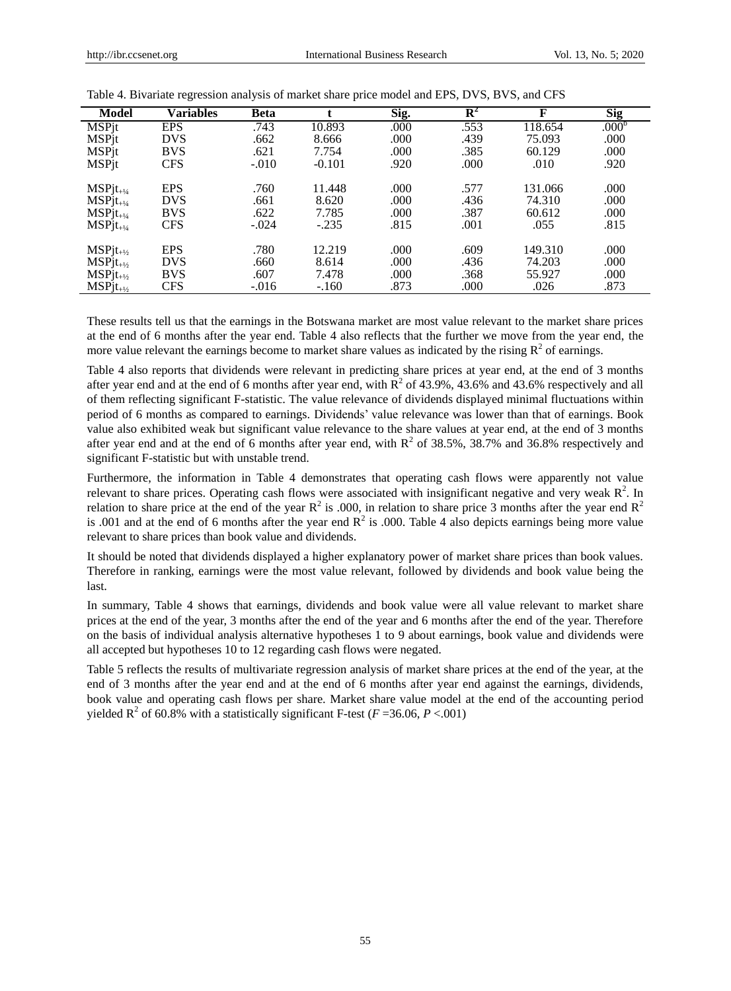| <b>Model</b>             | Variables  | <b>Beta</b> | t.       | Sig. | ${\bf R}^2$ | F       | <b>Sig</b>        |
|--------------------------|------------|-------------|----------|------|-------------|---------|-------------------|
| <b>MSPjt</b>             | <b>EPS</b> | .743        | 10.893   | .000 | .553        | 118.654 | .000 <sup>b</sup> |
| <b>MSPjt</b>             | <b>DVS</b> | .662        | 8.666    | .000 | .439        | 75.093  | .000              |
| <b>MSP</b> <sub>it</sub> | <b>BVS</b> | .621        | 7.754    | .000 | .385        | 60.129  | .000              |
| <b>MSPjt</b>             | <b>CFS</b> | $-.010$     | $-0.101$ | .920 | .000        | .010    | .920              |
| $MSPit_{+1/4}$           | <b>EPS</b> | .760        | 11.448   | .000 | .577        | 131.066 | .000              |
| $MSPit_{+1/4}$           | <b>DVS</b> | .661        | 8.620    | .000 | .436        | 74.310  | .000              |
| $MSPit_{+1/4}$           | <b>BVS</b> | .622        | 7.785    | .000 | .387        | 60.612  | .000              |
| $MSPit_{+1/4}$           | <b>CFS</b> | $-.024$     | $-.235$  | .815 | .001        | .055    | .815              |
| $MSPjt_{+1/2}$           | <b>EPS</b> | .780        | 12.219   | .000 | .609        | 149.310 | .000              |
| $MSPit_{+1/2}$           | <b>DVS</b> | .660        | 8.614    | .000 | .436        | 74.203  | .000              |
| $MSPjt_{+1/2}$           | <b>BVS</b> | .607        | 7.478    | .000 | .368        | 55.927  | .000              |
| $MSPjt_{+1/2}$           | <b>CFS</b> | $-.016$     | $-.160$  | .873 | .000        | .026    | .873              |

Table 4. Bivariate regression analysis of market share price model and EPS, DVS, BVS, and CFS

These results tell us that the earnings in the Botswana market are most value relevant to the market share prices at the end of 6 months after the year end. Table 4 also reflects that the further we move from the year end, the more value relevant the earnings become to market share values as indicated by the rising  $R^2$  of earnings.

Table 4 also reports that dividends were relevant in predicting share prices at year end, at the end of 3 months after year end and at the end of 6 months after year end, with  $R^2$  of 43.9%, 43.6% and 43.6% respectively and all of them reflecting significant F-statistic. The value relevance of dividends displayed minimal fluctuations within period of 6 months as compared to earnings. Dividends' value relevance was lower than that of earnings. Book value also exhibited weak but significant value relevance to the share values at year end, at the end of 3 months after year end and at the end of 6 months after year end, with  $R^2$  of 38.5%, 38.7% and 36.8% respectively and significant F-statistic but with unstable trend.

Furthermore, the information in Table 4 demonstrates that operating cash flows were apparently not value relevant to share prices. Operating cash flows were associated with insignificant negative and very weak  $R^2$ . In relation to share price at the end of the year  $R^2$  is .000, in relation to share price 3 months after the year end  $R^2$ is .001 and at the end of 6 months after the year end  $R^2$  is .000. Table 4 also depicts earnings being more value relevant to share prices than book value and dividends.

It should be noted that dividends displayed a higher explanatory power of market share prices than book values. Therefore in ranking, earnings were the most value relevant, followed by dividends and book value being the last.

In summary, Table 4 shows that earnings, dividends and book value were all value relevant to market share prices at the end of the year, 3 months after the end of the year and 6 months after the end of the year. Therefore on the basis of individual analysis alternative hypotheses 1 to 9 about earnings, book value and dividends were all accepted but hypotheses 10 to 12 regarding cash flows were negated.

Table 5 reflects the results of multivariate regression analysis of market share prices at the end of the year, at the end of 3 months after the year end and at the end of 6 months after year end against the earnings, dividends, book value and operating cash flows per share. Market share value model at the end of the accounting period yielded  $R^2$  of 60.8% with a statistically significant F-test ( $F = 36.06, P < .001$ )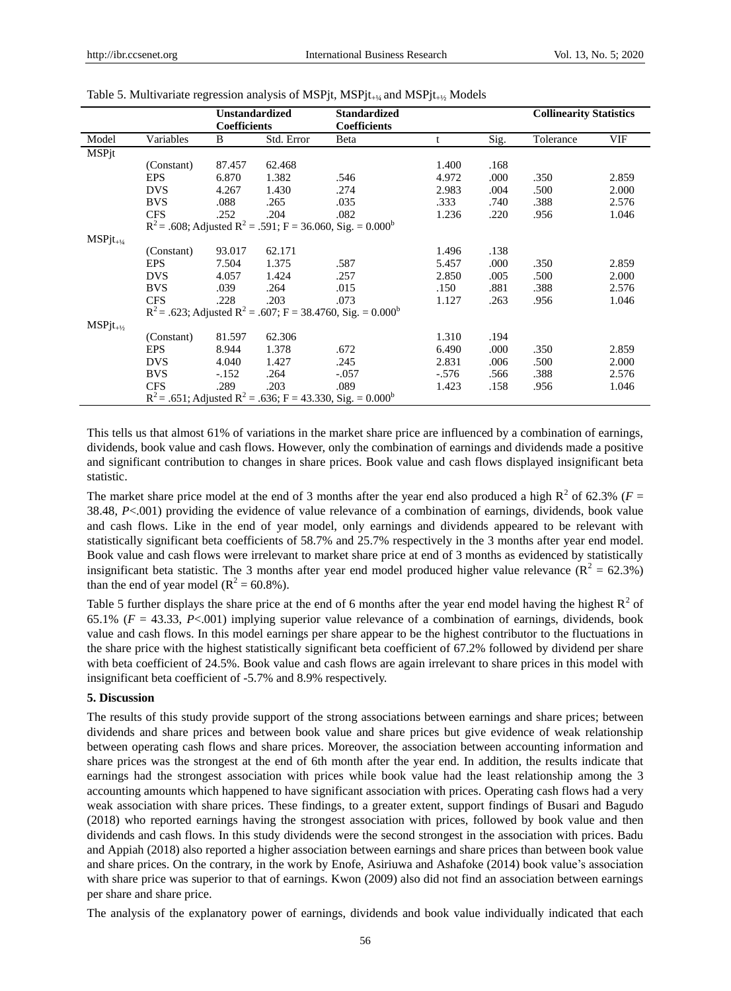|                |            | <b>Unstandardized</b><br><b>Coefficients</b> |                                                                                     | <b>Standardized</b><br><b>Coefficients</b>                                           |         |      | <b>Collinearity Statistics</b> |       |
|----------------|------------|----------------------------------------------|-------------------------------------------------------------------------------------|--------------------------------------------------------------------------------------|---------|------|--------------------------------|-------|
| Model          | Variables  | B                                            | Std. Error                                                                          | Beta                                                                                 |         | Sig. | Tolerance                      | VIF   |
| <b>MSPjt</b>   |            |                                              |                                                                                     |                                                                                      |         |      |                                |       |
|                | (Constant) | 87.457                                       | 62.468                                                                              |                                                                                      | 1.400   | .168 |                                |       |
|                | <b>EPS</b> | 6.870                                        | 1.382                                                                               | .546                                                                                 | 4.972   | .000 | .350                           | 2.859 |
|                | <b>DVS</b> | 4.267                                        | 1.430                                                                               | .274                                                                                 | 2.983   | .004 | .500                           | 2.000 |
|                | <b>BVS</b> | .088                                         | .265                                                                                | .035                                                                                 | .333    | .740 | .388                           | 2.576 |
|                | <b>CFS</b> | .252                                         | .204                                                                                | .082                                                                                 | 1.236   | .220 | .956                           | 1.046 |
|                |            |                                              | $R^2$ = .608; Adjusted $R^2$ = .591; F = 36.060, Sig. = 0.000 <sup>b</sup>          |                                                                                      |         |      |                                |       |
| $MSPjt_{+1/4}$ |            |                                              |                                                                                     |                                                                                      |         |      |                                |       |
|                | (Constant) | 93.017                                       | 62.171                                                                              |                                                                                      | 1.496   | .138 |                                |       |
|                | <b>EPS</b> | 7.504                                        | 1.375                                                                               | .587                                                                                 | 5.457   | .000 | .350                           | 2.859 |
|                | <b>DVS</b> | 4.057                                        | 1.424                                                                               | .257                                                                                 | 2.850   | .005 | .500                           | 2.000 |
|                | <b>BVS</b> | .039                                         | .264                                                                                | .015                                                                                 | .150    | .881 | .388                           | 2.576 |
|                | <b>CFS</b> | .228                                         | .203                                                                                | .073                                                                                 | 1.127   | .263 | .956                           | 1.046 |
|                |            |                                              |                                                                                     | $R^2$ = .623; Adjusted R <sup>2</sup> = .607; F = 38.4760, Sig. = 0.000 <sup>b</sup> |         |      |                                |       |
| $MSPjt_{+1/2}$ |            |                                              |                                                                                     |                                                                                      |         |      |                                |       |
|                | (Constant) | 81.597                                       | 62.306                                                                              |                                                                                      | 1.310   | .194 |                                |       |
|                | <b>EPS</b> | 8.944                                        | 1.378                                                                               | .672                                                                                 | 6.490   | .000 | .350                           | 2.859 |
|                | <b>DVS</b> | 4.040                                        | 1.427                                                                               | .245                                                                                 | 2.831   | .006 | .500                           | 2.000 |
|                | <b>BVS</b> | $-.152$                                      | .264                                                                                | $-.057$                                                                              | $-.576$ | .566 | .388                           | 2.576 |
|                | <b>CFS</b> | .289                                         | .203                                                                                | .089                                                                                 | 1.423   | .158 | .956                           | 1.046 |
|                |            |                                              | $R^2$ = .651; Adjusted R <sup>2</sup> = .636; F = 43.330, Sig. = 0.000 <sup>b</sup> |                                                                                      |         |      |                                |       |

#### Table 5. Multivariate regression analysis of MSPjt, MSPjt $_{+1/4}$  and MSPjt $_{+1/5}$  Models

This tells us that almost 61% of variations in the market share price are influenced by a combination of earnings, dividends, book value and cash flows. However, only the combination of earnings and dividends made a positive and significant contribution to changes in share prices. Book value and cash flows displayed insignificant beta statistic.

The market share price model at the end of 3 months after the year end also produced a high  $R^2$  of 62.3% ( $F =$ 38.48, *P*<.001) providing the evidence of value relevance of a combination of earnings, dividends, book value and cash flows. Like in the end of year model, only earnings and dividends appeared to be relevant with statistically significant beta coefficients of 58.7% and 25.7% respectively in the 3 months after year end model. Book value and cash flows were irrelevant to market share price at end of 3 months as evidenced by statistically insignificant beta statistic. The 3 months after year end model produced higher value relevance ( $\mathbb{R}^2 = 62.3\%$ ) than the end of year model ( $R^2 = 60.8\%$ ).

Table 5 further displays the share price at the end of 6 months after the year end model having the highest  $R^2$  of 65.1% (*F* = 43.33, *P*<.001) implying superior value relevance of a combination of earnings, dividends, book value and cash flows. In this model earnings per share appear to be the highest contributor to the fluctuations in the share price with the highest statistically significant beta coefficient of 67.2% followed by dividend per share with beta coefficient of 24.5%. Book value and cash flows are again irrelevant to share prices in this model with insignificant beta coefficient of -5.7% and 8.9% respectively.

# **5. Discussion**

The results of this study provide support of the strong associations between earnings and share prices; between dividends and share prices and between book value and share prices but give evidence of weak relationship between operating cash flows and share prices. Moreover, the association between accounting information and share prices was the strongest at the end of 6th month after the year end. In addition, the results indicate that earnings had the strongest association with prices while book value had the least relationship among the 3 accounting amounts which happened to have significant association with prices. Operating cash flows had a very weak association with share prices. These findings, to a greater extent, support findings of Busari and Bagudo (2018) who reported earnings having the strongest association with prices, followed by book value and then dividends and cash flows. In this study dividends were the second strongest in the association with prices. Badu and Appiah (2018) also reported a higher association between earnings and share prices than between book value and share prices. On the contrary, in the work by Enofe, Asiriuwa and Ashafoke (2014) book value's association with share price was superior to that of earnings. Kwon (2009) also did not find an association between earnings per share and share price.

The analysis of the explanatory power of earnings, dividends and book value individually indicated that each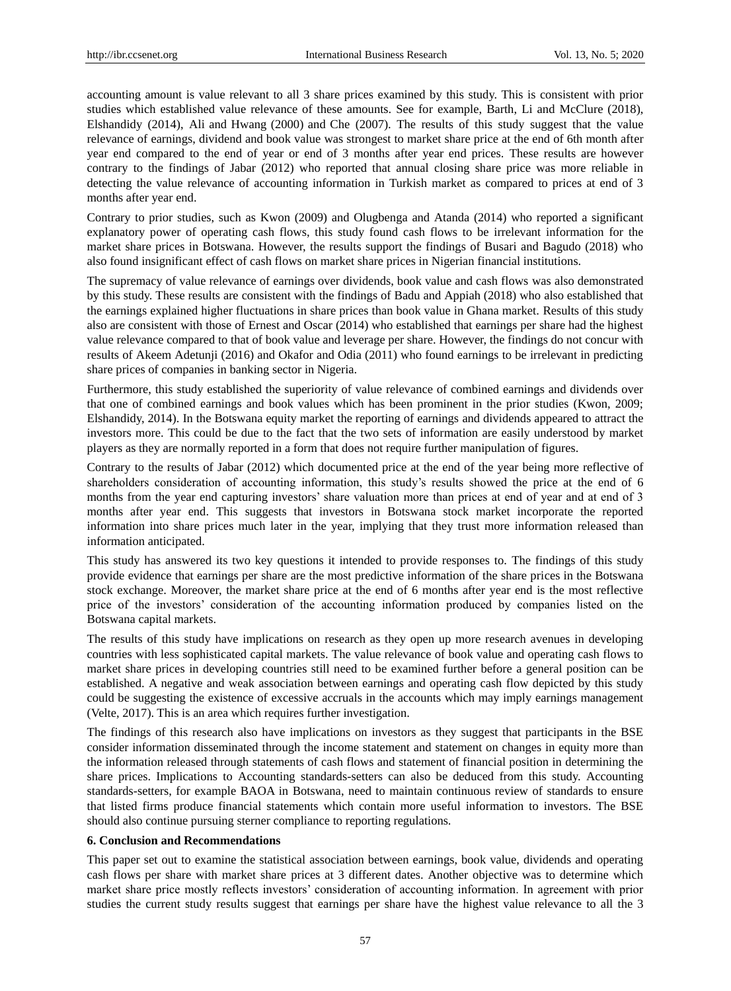accounting amount is value relevant to all 3 share prices examined by this study. This is consistent with prior studies which established value relevance of these amounts. See for example, Barth, Li and McClure (2018), Elshandidy (2014), Ali and Hwang (2000) and Che (2007). The results of this study suggest that the value relevance of earnings, dividend and book value was strongest to market share price at the end of 6th month after year end compared to the end of year or end of 3 months after year end prices. These results are however contrary to the findings of Jabar (2012) who reported that annual closing share price was more reliable in detecting the value relevance of accounting information in Turkish market as compared to prices at end of 3 months after year end.

Contrary to prior studies, such as Kwon (2009) and Olugbenga and Atanda (2014) who reported a significant explanatory power of operating cash flows, this study found cash flows to be irrelevant information for the market share prices in Botswana. However, the results support the findings of Busari and Bagudo (2018) who also found insignificant effect of cash flows on market share prices in Nigerian financial institutions.

The supremacy of value relevance of earnings over dividends, book value and cash flows was also demonstrated by this study. These results are consistent with the findings of Badu and Appiah (2018) who also established that the earnings explained higher fluctuations in share prices than book value in Ghana market. Results of this study also are consistent with those of Ernest and Oscar (2014) who established that earnings per share had the highest value relevance compared to that of book value and leverage per share. However, the findings do not concur with results of Akeem Adetunji (2016) and Okafor and Odia (2011) who found earnings to be irrelevant in predicting share prices of companies in banking sector in Nigeria.

Furthermore, this study established the superiority of value relevance of combined earnings and dividends over that one of combined earnings and book values which has been prominent in the prior studies (Kwon, 2009; Elshandidy, 2014). In the Botswana equity market the reporting of earnings and dividends appeared to attract the investors more. This could be due to the fact that the two sets of information are easily understood by market players as they are normally reported in a form that does not require further manipulation of figures.

Contrary to the results of Jabar (2012) which documented price at the end of the year being more reflective of shareholders consideration of accounting information, this study's results showed the price at the end of 6 months from the year end capturing investors' share valuation more than prices at end of year and at end of 3 months after year end. This suggests that investors in Botswana stock market incorporate the reported information into share prices much later in the year, implying that they trust more information released than information anticipated.

This study has answered its two key questions it intended to provide responses to. The findings of this study provide evidence that earnings per share are the most predictive information of the share prices in the Botswana stock exchange. Moreover, the market share price at the end of 6 months after year end is the most reflective price of the investors' consideration of the accounting information produced by companies listed on the Botswana capital markets.

The results of this study have implications on research as they open up more research avenues in developing countries with less sophisticated capital markets. The value relevance of book value and operating cash flows to market share prices in developing countries still need to be examined further before a general position can be established. A negative and weak association between earnings and operating cash flow depicted by this study could be suggesting the existence of excessive accruals in the accounts which may imply earnings management (Velte, 2017). This is an area which requires further investigation.

The findings of this research also have implications on investors as they suggest that participants in the BSE consider information disseminated through the income statement and statement on changes in equity more than the information released through statements of cash flows and statement of financial position in determining the share prices. Implications to Accounting standards-setters can also be deduced from this study. Accounting standards-setters, for example BAOA in Botswana, need to maintain continuous review of standards to ensure that listed firms produce financial statements which contain more useful information to investors. The BSE should also continue pursuing sterner compliance to reporting regulations.

#### **6. Conclusion and Recommendations**

This paper set out to examine the statistical association between earnings, book value, dividends and operating cash flows per share with market share prices at 3 different dates. Another objective was to determine which market share price mostly reflects investors' consideration of accounting information. In agreement with prior studies the current study results suggest that earnings per share have the highest value relevance to all the 3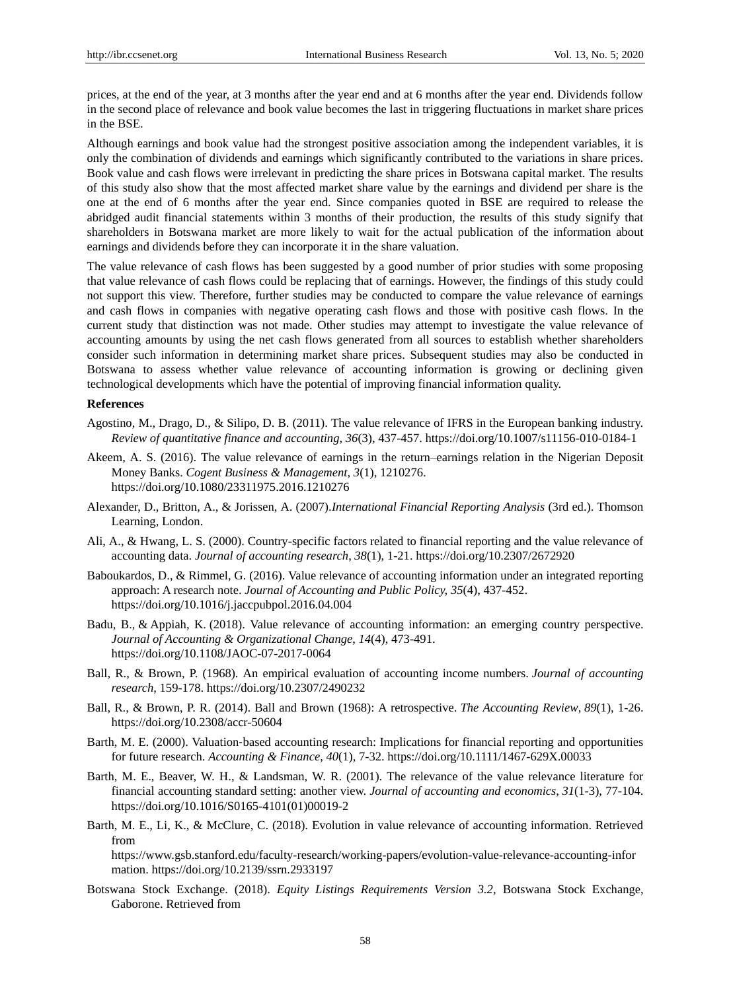prices, at the end of the year, at 3 months after the year end and at 6 months after the year end. Dividends follow in the second place of relevance and book value becomes the last in triggering fluctuations in market share prices in the BSE.

Although earnings and book value had the strongest positive association among the independent variables, it is only the combination of dividends and earnings which significantly contributed to the variations in share prices. Book value and cash flows were irrelevant in predicting the share prices in Botswana capital market. The results of this study also show that the most affected market share value by the earnings and dividend per share is the one at the end of 6 months after the year end. Since companies quoted in BSE are required to release the abridged audit financial statements within 3 months of their production, the results of this study signify that shareholders in Botswana market are more likely to wait for the actual publication of the information about earnings and dividends before they can incorporate it in the share valuation.

The value relevance of cash flows has been suggested by a good number of prior studies with some proposing that value relevance of cash flows could be replacing that of earnings. However, the findings of this study could not support this view. Therefore, further studies may be conducted to compare the value relevance of earnings and cash flows in companies with negative operating cash flows and those with positive cash flows. In the current study that distinction was not made. Other studies may attempt to investigate the value relevance of accounting amounts by using the net cash flows generated from all sources to establish whether shareholders consider such information in determining market share prices. Subsequent studies may also be conducted in Botswana to assess whether value relevance of accounting information is growing or declining given technological developments which have the potential of improving financial information quality.

# **References**

- Agostino, M., Drago, D., & Silipo, D. B. (2011). The value relevance of IFRS in the European banking industry. *Review of quantitative finance and accounting*, *36*(3), 437-457. https://doi.org/10.1007/s11156-010-0184-1
- Akeem, A. S. (2016). The value relevance of earnings in the return–earnings relation in the Nigerian Deposit Money Banks. *Cogent Business & Management*, *3*(1), 1210276. <https://doi.org/10.1080/23311975.2016.1210276>
- Alexander, D., Britton, A., & Jorissen, A. (2007).*International Financial Reporting Analysis* (3rd ed.). Thomson Learning, London.
- Ali, A., & Hwang, L. S. (2000). Country-specific factors related to financial reporting and the value relevance of accounting data. *Journal of accounting research*, *38*(1), 1-21. https://doi.org/10.2307/2672920
- Baboukardos, D., & Rimmel, G. (2016). Value relevance of accounting information under an integrated reporting approach: A research note. *Journal of Accounting and Public Policy, 35*(4), 437-452. <https://doi.org/10.1016/j.jaccpubpol.2016.04.004>
- [Badu, B.,](https://www.emerald.com/insight/search?q=Bismark%20Badu) & [Appiah, K.](https://www.emerald.com/insight/search?q=Kingsley%20Opoku%20Appiah) (2018). Value relevance of accounting information: an emerging country perspective. *Journal of Accounting & Organizational Change*, *14*(4), 473-491. https://doi.org/10.1108/JAOC-07-2017-0064
- Ball, R., & Brown, P. (1968). An empirical evaluation of accounting income numbers. *Journal of accounting research*, 159-178. https://doi.org/10.2307/2490232
- Ball, R., & Brown, P. R. (2014). Ball and Brown (1968): A retrospective. *The Accounting Review*, *89*(1), 1-26. https://doi.org/10.2308/accr-50604
- Barth, M. E. (2000). Valuation-based accounting research: Implications for financial reporting and opportunities for future research. *Accounting & Finance*, *40*(1), 7-32. <https://doi.org/10.1111/1467-629X.00033>
- Barth, M. E., Beaver, W. H., & Landsman, W. R. (2001). The relevance of the value relevance literature for financial accounting standard setting: another view. *Journal of accounting and economics*, *31*(1-3), 77-104. [https://doi.org/10.1016/S0165-4101\(01\)00019-2](https://doi.org/10.1016/S0165-4101(01)00019-2)
- Barth, M. E., Li, K., & McClure, C. (2018). Evolution in value relevance of accounting information. Retrieved from

[https://www.gsb.stanford.edu/faculty-research/working-papers/evolution-value-relevance-accounting-infor](https://www.gsb.stanford.edu/faculty-research/working-papers/evolution-value-relevance-accounting-information) [mation.](https://www.gsb.stanford.edu/faculty-research/working-papers/evolution-value-relevance-accounting-information)<https://doi.org/10.2139/ssrn.2933197>

Botswana Stock Exchange. (2018). *Equity Listings Requirements Version 3.2*, Botswana Stock Exchange, Gaborone. Retrieved from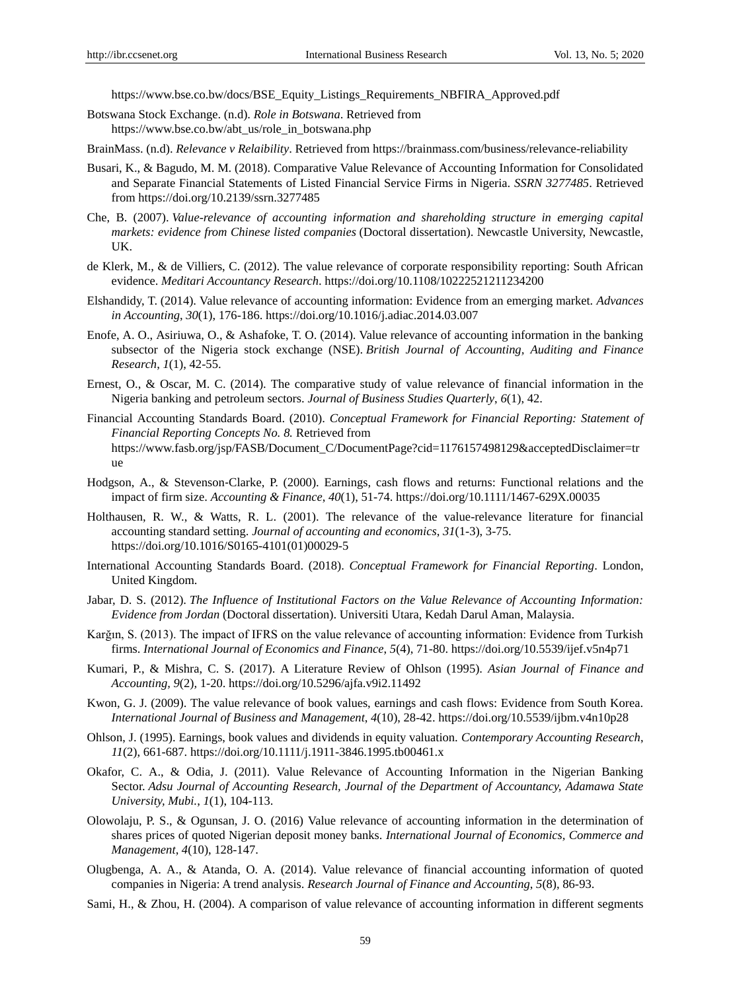[https://www.bse.co.bw/docs/BSE\\_Equity\\_Listings\\_Requirements\\_NBFIRA\\_Approved.pdf](https://www.bse.co.bw/docs/BSE_Equity_Listings_Requirements_NBFIRA_Approved.pdf)

- Botswana Stock Exchange. (n.d). *Role in Botswana*. Retrieved from [https://www.bse.co.bw/abt\\_us/role\\_in\\_botswana.php](https://www.bse.co.bw/abt_us/role_in_botswana.php)
- BrainMass. (n.d). *Relevance v Relaibility*. Retrieved from https://brainmass.com/business/relevance-reliability
- Busari, K., & Bagudo, M. M. (2018). Comparative Value Relevance of Accounting Information for Consolidated and Separate Financial Statements of Listed Financial Service Firms in Nigeria. *SSRN 3277485*. Retrieved from <https://doi.org/10.2139/ssrn.3277485>
- Che, B. (2007). *Value-relevance of accounting information and shareholding structure in emerging capital markets: evidence from Chinese listed companies* (Doctoral dissertation). Newcastle University, Newcastle, UK.
- de Klerk, M., & de Villiers, C. (2012). The value relevance of corporate responsibility reporting: South African evidence. *Meditari Accountancy Research*[. https://doi.org/10.1108/10222521211234200](https://doi.org/10.1108/10222521211234200)
- Elshandidy, T. (2014). Value relevance of accounting information: Evidence from an emerging market. *Advances in Accounting*, *30*(1), 176-186[. https://doi.org/10.1016/j.adiac.2014.03.007](https://doi.org/10.1016/j.adiac.2014.03.007)
- Enofe, A. O., Asiriuwa, O., & Ashafoke, T. O. (2014). Value relevance of accounting information in the banking subsector of the Nigeria stock exchange (NSE). *British Journal of Accounting, Auditing and Finance Research*, *1*(1), 42-55.
- Ernest, O., & Oscar, M. C. (2014). The comparative study of value relevance of financial information in the Nigeria banking and petroleum sectors. *Journal of Business Studies Quarterly*, *6*(1), 42.
- Financial Accounting Standards Board. (2010). *Conceptual Framework for Financial Reporting: Statement of Financial Reporting Concepts No. 8.* Retrieved from [https://www.fasb.org/jsp/FASB/Document\\_C/DocumentPage?cid=1176157498129&acceptedDisclaimer=tr](https://www.fasb.org/jsp/FASB/Document_C/DocumentPage?cid=1176157498129&acceptedDisclaimer=true) [ue](https://www.fasb.org/jsp/FASB/Document_C/DocumentPage?cid=1176157498129&acceptedDisclaimer=true)
- Hodgson, A., & Stevenson‐Clarke, P. (2000). Earnings, cash flows and returns: Functional relations and the impact of firm size. *Accounting & Finance*, *40*(1), 51-74. <https://doi.org/10.1111/1467-629X.00035>
- Holthausen, R. W., & Watts, R. L. (2001). The relevance of the value-relevance literature for financial accounting standard setting. *Journal of accounting and economics*, *31*(1-3), 3-75. [https://doi.org/10.1016/S0165-4101\(01\)00029-5](https://doi.org/10.1016/S0165-4101(01)00029-5)
- International Accounting Standards Board. (2018). *Conceptual Framework for Financial Reporting*. London, United Kingdom.
- Jabar, D. S. (2012). *The Influence of Institutional Factors on the Value Relevance of Accounting Information: Evidence from Jordan* (Doctoral dissertation). Universiti Utara, Kedah Darul Aman, Malaysia.
- Karğın, S. (2013). The impact of IFRS on the value relevance of accounting information: Evidence from Turkish firms. *International Journal of Economics and Finance*, *5*(4), 71-80. <https://doi.org/10.5539/ijef.v5n4p71>
- Kumari, P., & Mishra, C. S. (2017). A Literature Review of Ohlson (1995). *Asian Journal of Finance and Accounting, 9*(2)*,* 1-20. <https://doi.org/10.5296/ajfa.v9i2.11492>
- Kwon, G. J. (2009). The value relevance of book values, earnings and cash flows: Evidence from South Korea. *International Journal of Business and Management*, *4*(10), 28-42. <https://doi.org/10.5539/ijbm.v4n10p28>
- Ohlson, J. (1995). Earnings, book values and dividends in equity valuation. *Contemporary Accounting Research*, *11*(2), 661-687. <https://doi.org/10.1111/j.1911-3846.1995.tb00461.x>
- Okafor, C. A., & Odia, J. (2011). Value Relevance of Accounting Information in the Nigerian Banking Sector. *Adsu Journal of Accounting Research, Journal of the Department of Accountancy, Adamawa State University, Mubi.*, *1*(1), 104-113.
- Olowolaju, P. S., & Ogunsan, J. O. (2016) Value relevance of accounting information in the determination of shares prices of quoted Nigerian deposit money banks. *International Journal of Economics, Commerce and Management*, *4*(10), 128-147.
- Olugbenga, A. A., & Atanda, O. A. (2014). Value relevance of financial accounting information of quoted companies in Nigeria: A trend analysis. *Research Journal of Finance and Accounting*, *5*(8), 86-93.
- Sami, H., & Zhou, H. (2004). A comparison of value relevance of accounting information in different segments